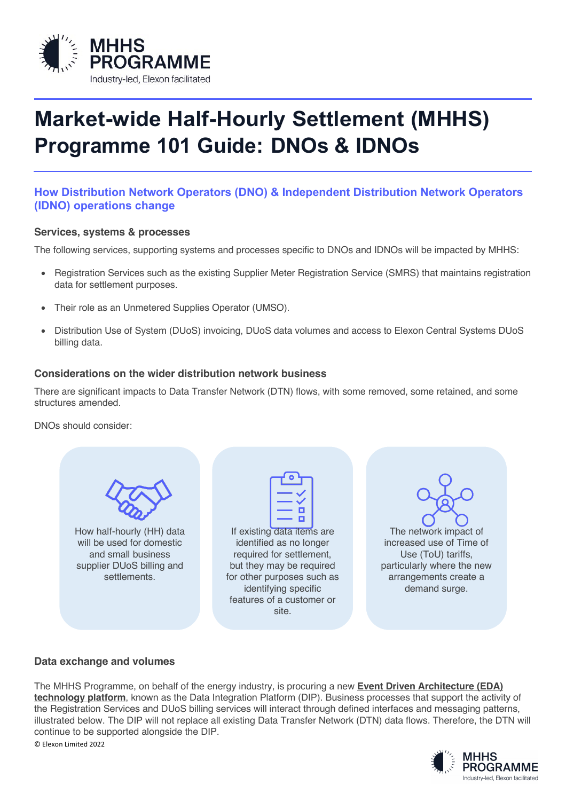

# **Market-wide Half-Hourly Settlement (MHHS) Programme 101 Guide: DNOs & IDNOs**

# **How Distribution Network Operators (DNO) & Independent Distribution Network Operators (IDNO) operations change**

#### **Services, systems & processes**

The following services, supporting systems and processes specific to DNOs and IDNOs will be impacted by MHHS:

- Registration Services such as the existing Supplier Meter Registration Service (SMRS) that maintains registration data for settlement purposes.
- Their role as an Unmetered Supplies Operator (UMSO).
- Distribution Use of System (DUoS) invoicing, DUoS data volumes and access to Elexon Central Systems DUoS billing data.

#### **Considerations on the wider distribution network business**

There are significant impacts to Data Transfer Network (DTN) flows, with some removed, some retained, and some structures amended.

DNOs should consider:

| How half-hourly (HH) data<br>will be used for domestic<br>and small business<br>supplier DUoS billing and<br>settlements. | If existing data items are<br>identified as no longer<br>required for settlement,<br>but they may be required<br>for other purposes such as<br>identifying specific<br>features of a customer or | The network impact of<br>increased use of Time of<br>Use (ToU) tariffs,<br>particularly where the new<br>arrangements create a<br>demand surge. |
|---------------------------------------------------------------------------------------------------------------------------|--------------------------------------------------------------------------------------------------------------------------------------------------------------------------------------------------|-------------------------------------------------------------------------------------------------------------------------------------------------|
|                                                                                                                           | site.                                                                                                                                                                                            |                                                                                                                                                 |

### **Data exchange and volumes**

© Elexon Limited 2022 The MHHS Programme, on behalf of the energy industry, is procuring a new **Event Driven Architecture (EDA) technology platform**, known as the Data Integration Platform (DIP). Business processes that support the activity of the Registration Services and DUoS billing services will interact through defined interfaces and messaging patterns, illustrated below. The DIP will not replace all existing Data Transfer Network (DTN) data flows. Therefore, the DTN will continue to be supported alongside the DIP.